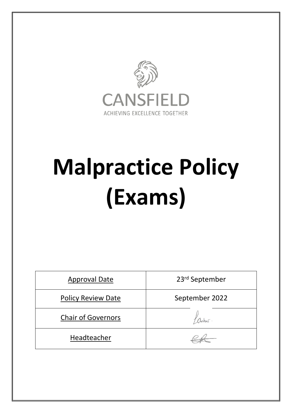

# **Malpractice Policy (Exams)**

| <b>Approval Date</b>      | 23rd September |
|---------------------------|----------------|
| <b>Policy Review Date</b> | September 2022 |
| <b>Chair of Governors</b> |                |
| Headteacher               |                |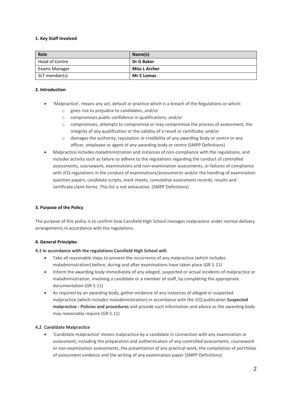#### **1. Key Staff Involved**

| Role           | Name(s)              |
|----------------|----------------------|
| Head of Centre | Dr G Baker           |
| Exams Manager  | <b>Miss L Archer</b> |
| SLT member(s)  | <b>Mr C Lomas</b>    |

### **2. Introduction**

- 'Malpractice', means any act, default or practice which is a breach of the Regulations or which:
	- o gives rise to prejudice to candidates; and/or
	- o compromises public confidence in qualifications; and/or
	- o compromises, attempts to compromise or may compromise the process of assessment, the integrity of any qualification or the validity of a result or certificate; and/or
	- o damages the authority, reputation or credibility of any awarding body or centre or any officer, employee or agent of any awarding body or centre (SMPP Definitions)
- Malpractice includes maladministration and instances of non-compliance with the regulations, and includes activity such as failure to adhere to the regulations regarding the conduct of controlled assessments, coursework, examinations and non-examination assessments, or failures of compliance with JCQ regulations in the conduct of examinations/assessments and/or the handling of examination question papers, candidate scripts, mark sheets, cumulative assessment records, results and certificate claim forms. This list is not exhaustive. (SMPP Definitions)

#### **3. Purpose of the Policy**

The purpose of this policy is to confirm how Cansfield High School manages malpractice under normal delivery arrangements in accordance with the regulations.

#### **4. General Principles**

#### **4.1 In accordance with the regulations Cansfield High School will:**

- Take all reasonable steps to prevent the occurrence of any malpractice (which includes maladministration) before, during and after examinations have taken place (GR 5.11)
- Inform the awarding body immediately of any alleged, suspected or actual incidents of malpractice or maladministration, involving a candidate or a member of staff, by completing the appropriate documentation (GR 5.11)
- As required by an awarding body, gather evidence of any instances of alleged or suspected malpractice (which includes maladministration) in accordance with the JCQ publication **Suspected malpractice - Policies and procedures** and provide such information and advice as the awarding body may reasonably require (GR 5.11)

#### **4.2 Candidate Malpractice**

 'Candidate malpractice' means malpractice by a candidate in connection with any examination or assessment, including the preparation and authentication of any controlled assessments, coursework or non-examination assessments, the presentation of any practical work, the compilation of portfolios of assessment evidence and the writing of any examination paper (SMPP Definitions)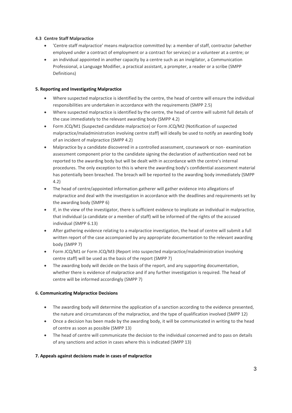# **4.3 Centre Staff Malpractice**

- 'Centre staff malpractice' means malpractice committed by: a member of staff, contractor (whether employed under a contract of employment or a contract for services) or a volunteer at a centre; or
- an individual appointed in another capacity by a centre such as an invigilator, a Communication Professional, a Language Modifier, a practical assistant, a prompter, a reader or a scribe (SMPP Definitions)

# **5. Reporting and Investigating Malpractice**

- Where suspected malpractice is identified by the centre, the head of centre will ensure the individual responsibilities are undertaken in accordance with the requirements (SMPP 2.5)
- Where suspected malpractice is identified by the centre, the head of centre will submit full details of the case immediately to the relevant awarding body (SMPP 4.2)
- Form JCQ/M1 (Suspected candidate malpractice) or Form JCQ/M2 (Notification of suspected malpractice/maladministration involving centre staff) will ideally be used to notify an awarding body of an incident of malpractice (SMPP 4.2)
- Malpractice by a candidate discovered in a controlled assessment, coursework or non- examination assessment component prior to the candidate signing the declaration of authentication need not be reported to the awarding body but will be dealt with in accordance with the centre's internal procedures. The only exception to this is where the awarding body's confidential assessment material has potentially been breached. The breach will be reported to the awarding body immediately (SMPP 4.2)
- The head of centre/appointed information gatherer will gather evidence into allegations of malpractice and deal with the investigation in accordance with the deadlines and requirements set by the awarding body (SMPP 6)
- If, in the view of the investigator, there is sufficient evidence to implicate an individual in malpractice, that individual (a candidate or a member of staff) will be informed of the rights of the accused individual (SMPP 6.13)
- After gathering evidence relating to a malpractice investigation, the head of centre will submit a full written report of the case accompanied by any appropriate documentation to the relevant awarding body (SMPP 7)
- Form JCQ/M1 or Form JCQ/M3 (Report into suspected malpractice/maladministration involving centre staff) will be used as the basis of the report (SMPP 7)
- The awarding body will decide on the basis of the report, and any supporting documentation, whether there is evidence of malpractice and if any further investigation is required. The head of centre will be informed accordingly (SMPP 7)

## **6. Communicating Malpractice Decisions**

- The awarding body will determine the application of a sanction according to the evidence presented, the nature and circumstances of the malpractice, and the type of qualification involved (SMPP 12)
- Once a decision has been made by the awarding body, it will be communicated in writing to the head of centre as soon as possible (SMPP 13)
- The head of centre will communicate the decision to the individual concerned and to pass on details of any sanctions and action in cases where this is indicated (SMPP 13)

## **7. Appeals against decisions made in cases of malpractice**